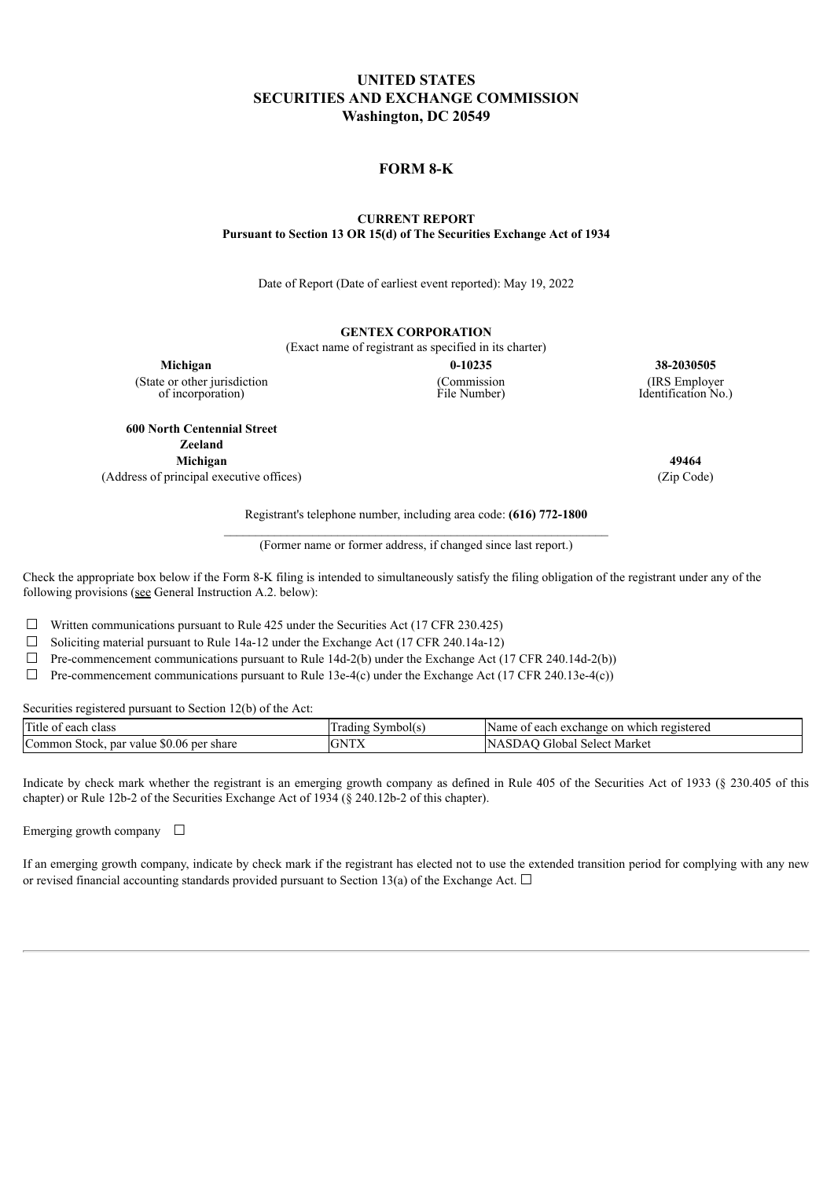### **UNITED STATES SECURITIES AND EXCHANGE COMMISSION Washington, DC 20549**

#### **FORM 8-K**

#### **CURRENT REPORT Pursuant to Section 13 OR 15(d) of The Securities Exchange Act of 1934**

Date of Report (Date of earliest event reported): May 19, 2022

## **GENTEX CORPORATION**

(Exact name of registrant as specified in its charter)

(State or other jurisdiction of incorporation)

(Commission File Number)

**Michigan 0-10235 38-2030505** (IRS Employer Identification No.)

**600 North Centennial Street Zeeland Michigan 49464** (Address of principal executive offices) (Zip Code)

Registrant's telephone number, including area code: **(616) 772-1800**

(Former name or former address, if changed since last report.)

Check the appropriate box below if the Form 8-K filing is intended to simultaneously satisfy the filing obligation of the registrant under any of the following provisions (see General Instruction A.2. below):

☐ Written communications pursuant to Rule 425 under the Securities Act (17 CFR 230.425)

☐ Soliciting material pursuant to Rule 14a-12 under the Exchange Act (17 CFR 240.14a-12)

 $\Box$  Pre-commencement communications pursuant to Rule 14d-2(b) under the Exchange Act (17 CFR 240.14d-2(b))

 $\Box$  Pre-commencement communications pursuant to Rule 13e-4(c) under the Exchange Act (17 CFR 240.13e-4(c))

Securities registered pursuant to Section 12(b) of the Act:

| $\sqrt{2}$<br>Title of each class                                   | Symbol(s<br>rading | Name<br>.on<br>' registereg<br>each<br>exchange<br>which<br>വ |
|---------------------------------------------------------------------|--------------------|---------------------------------------------------------------|
| $\sqrt{2}$<br>$50.06$ per share<br>par<br>Stock.<br>Common<br>value | GNTY<br>UNIA       | Ν<br>Market<br>Select.<br>Filobal<br>NAOU4                    |

Indicate by check mark whether the registrant is an emerging growth company as defined in Rule 405 of the Securities Act of 1933 (§ 230.405 of this chapter) or Rule 12b-2 of the Securities Exchange Act of 1934 (§ 240.12b-2 of this chapter).

Emerging growth company  $\Box$ 

If an emerging growth company, indicate by check mark if the registrant has elected not to use the extended transition period for complying with any new or revised financial accounting standards provided pursuant to Section 13(a) of the Exchange Act.  $\Box$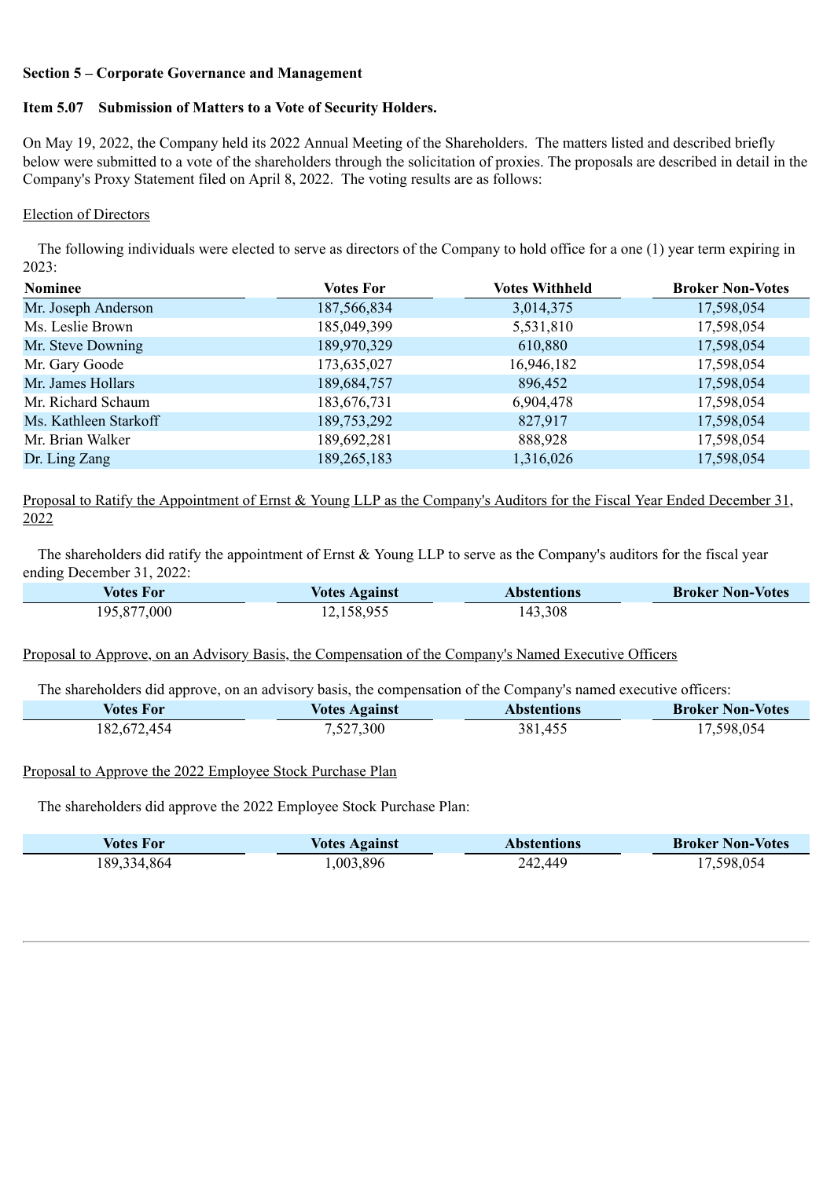### **Section 5 – Corporate Governance and Management**

# **Item 5.07 Submission of Matters to a Vote of Security Holders.**

On May 19, 2022, the Company held its 2022 Annual Meeting of the Shareholders. The matters listed and described briefly below were submitted to a vote of the shareholders through the solicitation of proxies. The proposals are described in detail in the Company's Proxy Statement filed on April 8, 2022. The voting results are as follows:

# Election of Directors

The following individuals were elected to serve as directors of the Company to hold office for a one (1) year term expiring in 2023:

| <b>Nominee</b>        | Votes For   | Votes Withheld | <b>Broker Non-Votes</b> |
|-----------------------|-------------|----------------|-------------------------|
| Mr. Joseph Anderson   | 187,566,834 | 3,014,375      | 17,598,054              |
| Ms. Leslie Brown      | 185,049,399 | 5,531,810      | 17,598,054              |
| Mr. Steve Downing     | 189,970,329 | 610,880        | 17,598,054              |
| Mr. Gary Goode        | 173,635,027 | 16,946,182     | 17,598,054              |
| Mr. James Hollars     | 189,684,757 | 896,452        | 17,598,054              |
| Mr. Richard Schaum    | 183,676,731 | 6,904,478      | 17,598,054              |
| Ms. Kathleen Starkoff | 189,753,292 | 827,917        | 17,598,054              |
| Mr. Brian Walker      | 189,692,281 | 888,928        | 17,598,054              |
| Dr. Ling Zang         | 189,265,183 | 1,316,026      | 17,598,054              |

Proposal to Ratify the Appointment of Ernst & Young LLP as the Company's Auditors for the Fiscal Year Ended December 31, 2022

The shareholders did ratify the appointment of Ernst & Young LLP to serve as the Company's auditors for the fiscal year ending December 31, 2022:

| Votes For   | <b>Votes Against</b> | Abstentions | <b>Broker Non-Votes</b> |
|-------------|----------------------|-------------|-------------------------|
| 195,877,000 | 12,158,955           | 143,308     |                         |

Proposal to Approve, on an Advisory Basis, the Compensation of the Company's Named Executive Officers

The shareholders did approve, on an advisory basis, the compensation of the Company's named executive officers:

| Votes For   | <b>Votes Against</b> | <b>Abstentions</b> | <b>Broker Non-Votes</b> |
|-------------|----------------------|--------------------|-------------------------|
| 182,672,454 | 7,527,300            | 381,455            | 17,598,054              |

### Proposal to Approve the 2022 Employee Stock Purchase Plan

The shareholders did approve the 2022 Employee Stock Purchase Plan:

| Votes For   | <b>Votes Against</b> | <b>Abstentions</b> | <b>Broker Non-Votes</b> |
|-------------|----------------------|--------------------|-------------------------|
| 189,334,864 | 1,003,896            | 242,449            | 17,598,054              |